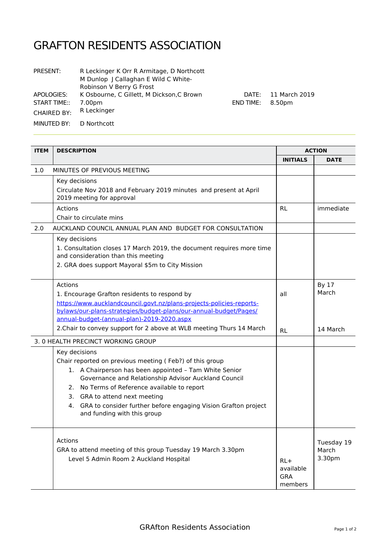## GRAFTON RESIDENTS ASSOCIATION

| <b>PRESENT:</b>            | R Leckinger K Orr R Armitage, D Northcott<br>M Dunlop J Callaghan E Wild C White-<br>Robinson V Berry G Frost |
|----------------------------|---------------------------------------------------------------------------------------------------------------|
| APOLOGIES:<br>START TIME:: | K Osbourne, C Gillett, M Dickson, C Brown<br>7.00pm                                                           |
| <b>CHAIRED BY:</b>         | R Leckinger                                                                                                   |
| MINUTED BY:                | D Northcott                                                                                                   |

DATE: 11 March 2019 END TIME: 8.50pm

| <b>ITEM</b> | <b>DESCRIPTION</b>                                                                                                                                                                                                                                                                                                                                                                 |                                             | <b>ACTION</b>                 |  |
|-------------|------------------------------------------------------------------------------------------------------------------------------------------------------------------------------------------------------------------------------------------------------------------------------------------------------------------------------------------------------------------------------------|---------------------------------------------|-------------------------------|--|
|             |                                                                                                                                                                                                                                                                                                                                                                                    | <b>INITIALS</b>                             | <b>DATE</b>                   |  |
| 1.0         | MINUTES OF PREVIOUS MEETING                                                                                                                                                                                                                                                                                                                                                        |                                             |                               |  |
|             | Key decisions<br>Circulate Nov 2018 and February 2019 minutes and present at April<br>2019 meeting for approval                                                                                                                                                                                                                                                                    |                                             |                               |  |
|             | Actions<br>Chair to circulate mins                                                                                                                                                                                                                                                                                                                                                 | <b>RL</b>                                   | immediate                     |  |
| 2.0         | AUCKLAND COUNCIL ANNUAL PLAN AND BUDGET FOR CONSULTATION                                                                                                                                                                                                                                                                                                                           |                                             |                               |  |
|             | Key decisions<br>1. Consultation closes 17 March 2019, the document requires more time<br>and consideration than this meeting<br>2. GRA does support Mayoral \$5m to City Mission                                                                                                                                                                                                  |                                             |                               |  |
|             | Actions<br>1. Encourage Grafton residents to respond by<br>https://www.aucklandcouncil.govt.nz/plans-projects-policies-reports-<br>bylaws/our-plans-strategies/budget-plans/our-annual-budget/Pages/<br>annual-budget-(annual-plan)-2019-2020.aspx                                                                                                                                 | all                                         | By 17<br>March                |  |
|             | 2. Chair to convey support for 2 above at WLB meeting Thurs 14 March                                                                                                                                                                                                                                                                                                               | <b>RL</b>                                   | 14 March                      |  |
|             | 3. 0 HEALTH PRECINCT WORKING GROUP                                                                                                                                                                                                                                                                                                                                                 |                                             |                               |  |
|             | Key decisions<br>Chair reported on previous meeting (Feb?) of this group<br>1. A Chairperson has been appointed - Tam White Senior<br>Governance and Relationship Advisor Auckland Council<br>2. No Terms of Reference available to report<br>3. GRA to attend next meeting<br>GRA to consider further before engaging Vision Grafton project<br>4.<br>and funding with this group |                                             |                               |  |
|             | Actions<br>GRA to attend meeting of this group Tuesday 19 March 3.30pm<br>Level 5 Admin Room 2 Auckland Hospital                                                                                                                                                                                                                                                                   | $RL+$<br>available<br><b>GRA</b><br>members | Tuesday 19<br>March<br>3.30pm |  |